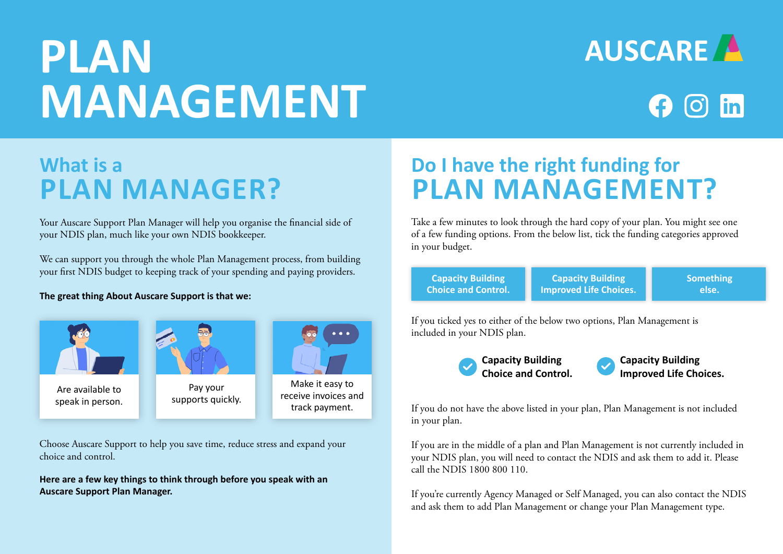# **PLAN MANAGEMENT**





### **What is a PLAN MANAGER?**

Your Auscare Support Plan Manager will help you organise the financial side of your NDIS plan, much like your own NDIS bookkeeper.

We can support you through the whole Plan Management process, from building your first NDIS budget to keeping track of your spending and paying providers.

**The great thing About Auscare Support is that we:**



Choose Auscare Support to help you save time, reduce stress and expand your choice and control.

**Here are a few key things to think through before you speak with an Auscare Support Plan Manager.**

# **Do I have the right funding for PLAN MANAGEMENT?**

Take a few minutes to look through the hard copy of your plan. You might see one of a few funding options. From the below list, tick the funding categories approved in your budget.

**Capacity Building Choice and Control.**

**Capacity Building Improved Life Choices.** **Something else.**

If you ticked yes to either of the below two options, Plan Management is included in your NDIS plan.



If you do not have the above listed in your plan, Plan Management is not included in your plan.

If you are in the middle of a plan and Plan Management is not currently included in your NDIS plan, you will need to contact the NDIS and ask them to add it. Please call the NDIS 1800 800 110.

If you're currently Agency Managed or Self Managed, you can also contact the NDIS and ask them to add Plan Management or change your Plan Management type.